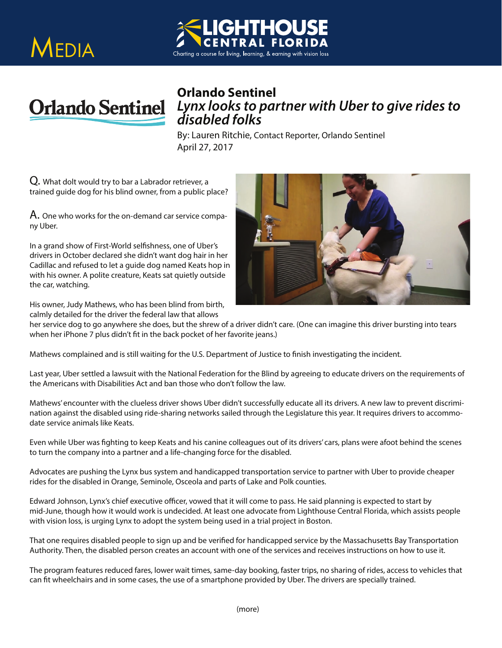





## *Lynx looks to partner with Uber to give rides to disabled folks*

By: Lauren Ritchie, Contact Reporter, Orlando Sentinel April 27, 2017

Q. What dolt would try to bar a Labrador retriever, a trained guide dog for his blind owner, from a public place?

A. One who works for the on-demand car service company Uber.

In a grand show of First-World selfishness, one of Uber's drivers in October declared she didn't want dog hair in her Cadillac and refused to let a guide dog named Keats hop in with his owner. A polite creature, Keats sat quietly outside the car, watching.

His owner, Judy Mathews, who has been blind from birth, calmly detailed for the driver the federal law that allows



when her iPhone 7 plus didn't fit in the back pocket of her favorite jeans.)

Mathews complained and is still waiting for the U.S. Department of Justice to finish investigating the incident.

Last year, Uber settled a lawsuit with the National Federation for the Blind by agreeing to educate drivers on the requirements of the Americans with Disabilities Act and ban those who don't follow the law.

Mathews' encounter with the clueless driver shows Uber didn't successfully educate all its drivers. A new law to prevent discrimination against the disabled using ride-sharing networks sailed through the Legislature this year. It requires drivers to accommodate service animals like Keats.

Even while Uber was fighting to keep Keats and his canine colleagues out of its drivers' cars, plans were afoot behind the scenes to turn the company into a partner and a life-changing force for the disabled.

Advocates are pushing the Lynx bus system and handicapped transportation service to partner with Uber to provide cheaper rides for the disabled in Orange, Seminole, Osceola and parts of Lake and Polk counties.

Edward Johnson, Lynx's chief executive officer, vowed that it will come to pass. He said planning is expected to start by mid-June, though how it would work is undecided. At least one advocate from Lighthouse Central Florida, which assists people with vision loss, is urging Lynx to adopt the system being used in a trial project in Boston.

That one requires disabled people to sign up and be verified for handicapped service by the Massachusetts Bay Transportation Authority. Then, the disabled person creates an account with one of the services and receives instructions on how to use it.

The program features reduced fares, lower wait times, same-day booking, faster trips, no sharing of rides, access to vehicles that can fit wheelchairs and in some cases, the use of a smartphone provided by Uber. The drivers are specially trained.